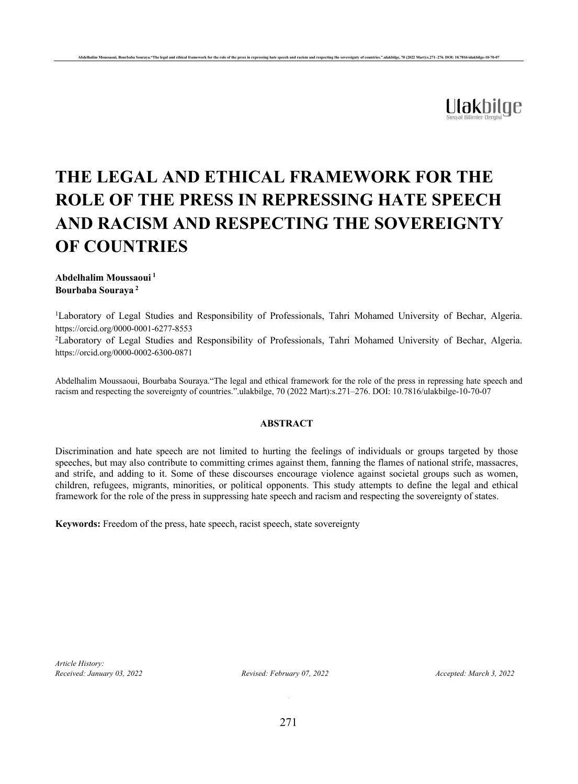

# **THE LEGAL AND ETHICAL FRAMEWORK FOR THE ROLE OF THE PRESS IN REPRESSING HATE SPEECH AND RACISM AND RESPECTING THE SOVEREIGNTY OF COUNTRIES**

ouraya."The legal and ethical framework for the role of the press in repressing hate speech and racism and respecting the sovereignty of countries." ulakbilge, 70 (2022 Mart):s.271–276. DOI: 10.7816/ulakbilge-10-7

## **Abdelhalim Moussaoui <sup>1</sup> Bourbaba Souraya <sup>2</sup>**

<sup>1</sup>Laboratory of Legal Studies and Responsibility of Professionals, Tahri Mohamed University of Bechar, Algeria. https://orcid.org/0000-0001-6277-8553

<sup>2</sup>Laboratory of Legal Studies and Responsibility of Professionals, Tahri Mohamed University of Bechar, Algeria. https://orcid.org/0000-0002-6300-0871

Abdelhalim Moussaoui, Bourbaba Souraya."The legal and ethical framework for the role of the press in repressing hate speech and racism and respecting the sovereignty of countries.".ulakbilge, 70 (2022 Mart):s.271–276. DOI: 10.7816/ulakbilge-10-70-07

## **ABSTRACT**

Discrimination and hate speech are not limited to hurting the feelings of individuals or groups targeted by those speeches, but may also contribute to committing crimes against them, fanning the flames of national strife, massacres, and strife, and adding to it. Some of these discourses encourage violence against societal groups such as women, children, refugees, migrants, minorities, or political opponents. This study attempts to define the legal and ethical framework for the role of the press in suppressing hate speech and racism and respecting the sovereignty of states.

**Keywords:** Freedom of the press, hate speech, racist speech, state sovereignty

*Article History: Received: January 03, 2022 Revised: February 07, 2022 Accepted: March 3, 2022*

.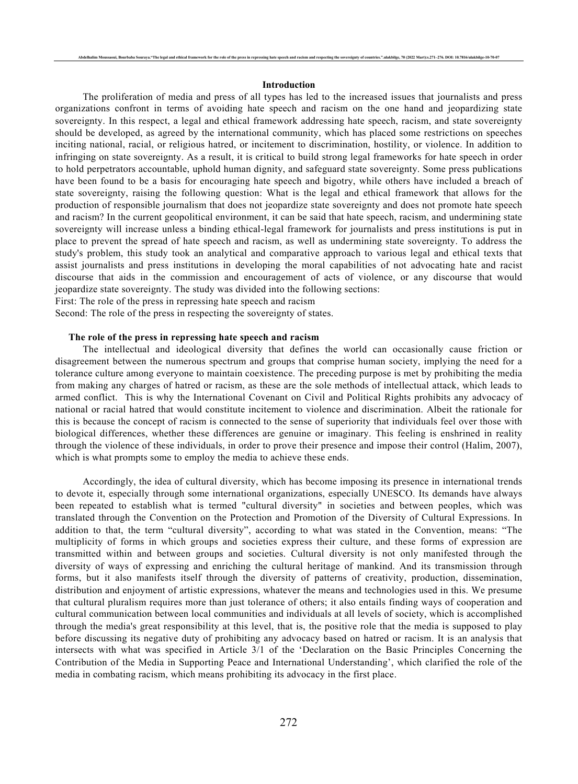#### **Introduction**

Abdelhalim Moussaoui, Bourbaba Souraya."The legal and ethical framework for the role of the press in repressing hate speech and racism and respecting the sovereignty of countries." ulakbilge, 70 (2022 Mart):s.271–276. DOI:

The proliferation of media and press of all types has led to the increased issues that journalists and press organizations confront in terms of avoiding hate speech and racism on the one hand and jeopardizing state sovereignty. In this respect, a legal and ethical framework addressing hate speech, racism, and state sovereignty should be developed, as agreed by the international community, which has placed some restrictions on speeches inciting national, racial, or religious hatred, or incitement to discrimination, hostility, or violence. In addition to infringing on state sovereignty. As a result, it is critical to build strong legal frameworks for hate speech in order to hold perpetrators accountable, uphold human dignity, and safeguard state sovereignty. Some press publications have been found to be a basis for encouraging hate speech and bigotry, while others have included a breach of state sovereignty, raising the following question: What is the legal and ethical framework that allows for the production of responsible journalism that does not jeopardize state sovereignty and does not promote hate speech and racism? In the current geopolitical environment, it can be said that hate speech, racism, and undermining state sovereignty will increase unless a binding ethical-legal framework for journalists and press institutions is put in place to prevent the spread of hate speech and racism, as well as undermining state sovereignty. To address the study's problem, this study took an analytical and comparative approach to various legal and ethical texts that assist journalists and press institutions in developing the moral capabilities of not advocating hate and racist discourse that aids in the commission and encouragement of acts of violence, or any discourse that would jeopardize state sovereignty. The study was divided into the following sections:

First: The role of the press in repressing hate speech and racism

Second: The role of the press in respecting the sovereignty of states.

### **The role of the press in repressing hate speech and racism**

The intellectual and ideological diversity that defines the world can occasionally cause friction or disagreement between the numerous spectrum and groups that comprise human society, implying the need for a tolerance culture among everyone to maintain coexistence. The preceding purpose is met by prohibiting the media from making any charges of hatred or racism, as these are the sole methods of intellectual attack, which leads to armed conflict. This is why the International Covenant on Civil and Political Rights prohibits any advocacy of national or racial hatred that would constitute incitement to violence and discrimination. Albeit the rationale for this is because the concept of racism is connected to the sense of superiority that individuals feel over those with biological differences, whether these differences are genuine or imaginary. This feeling is enshrined in reality through the violence of these individuals, in order to prove their presence and impose their control (Halim, 2007), which is what prompts some to employ the media to achieve these ends.

Accordingly, the idea of cultural diversity, which has become imposing its presence in international trends to devote it, especially through some international organizations, especially UNESCO. Its demands have always been repeated to establish what is termed "cultural diversity" in societies and between peoples, which was translated through the Convention on the Protection and Promotion of the Diversity of Cultural Expressions. In addition to that, the term "cultural diversity", according to what was stated in the Convention, means: "The multiplicity of forms in which groups and societies express their culture, and these forms of expression are transmitted within and between groups and societies. Cultural diversity is not only manifested through the diversity of ways of expressing and enriching the cultural heritage of mankind. And its transmission through forms, but it also manifests itself through the diversity of patterns of creativity, production, dissemination, distribution and enjoyment of artistic expressions, whatever the means and technologies used in this. We presume that cultural pluralism requires more than just tolerance of others; it also entails finding ways of cooperation and cultural communication between local communities and individuals at all levels of society, which is accomplished through the media's great responsibility at this level, that is, the positive role that the media is supposed to play before discussing its negative duty of prohibiting any advocacy based on hatred or racism. It is an analysis that intersects with what was specified in Article 3/1 of the 'Declaration on the Basic Principles Concerning the Contribution of the Media in Supporting Peace and International Understanding', which clarified the role of the media in combating racism, which means prohibiting its advocacy in the first place.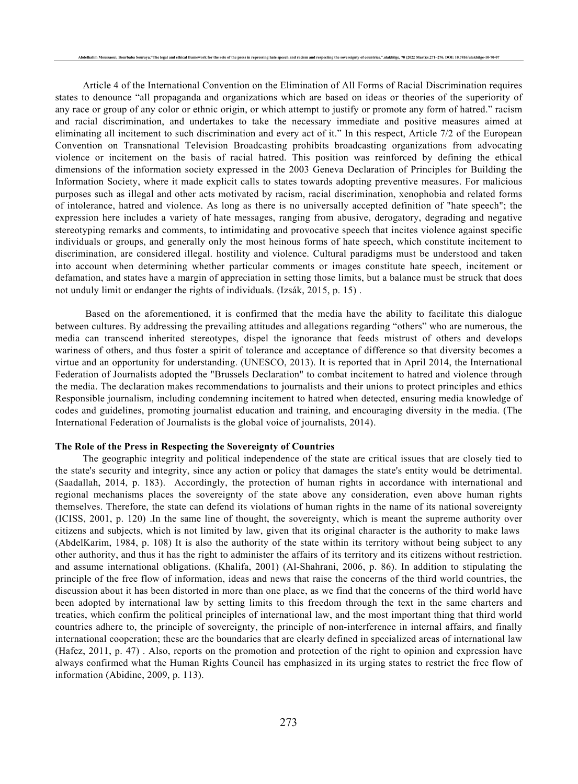Article 4 of the International Convention on the Elimination of All Forms of Racial Discrimination requires states to denounce "all propaganda and organizations which are based on ideas or theories of the superiority of any race or group of any color or ethnic origin, or which attempt to justify or promote any form of hatred." racism and racial discrimination, and undertakes to take the necessary immediate and positive measures aimed at eliminating all incitement to such discrimination and every act of it." In this respect, Article 7/2 of the European Convention on Transnational Television Broadcasting prohibits broadcasting organizations from advocating violence or incitement on the basis of racial hatred. This position was reinforced by defining the ethical dimensions of the information society expressed in the 2003 Geneva Declaration of Principles for Building the Information Society, where it made explicit calls to states towards adopting preventive measures. For malicious purposes such as illegal and other acts motivated by racism, racial discrimination, xenophobia and related forms of intolerance, hatred and violence. As long as there is no universally accepted definition of "hate speech"; the expression here includes a variety of hate messages, ranging from abusive, derogatory, degrading and negative stereotyping remarks and comments, to intimidating and provocative speech that incites violence against specific individuals or groups, and generally only the most heinous forms of hate speech, which constitute incitement to discrimination, are considered illegal. hostility and violence. Cultural paradigms must be understood and taken into account when determining whether particular comments or images constitute hate speech, incitement or defamation, and states have a margin of appreciation in setting those limits, but a balance must be struck that does not unduly limit or endanger the rights of individuals. (Izsák, 2015, p. 15) .

Based on the aforementioned, it is confirmed that the media have the ability to facilitate this dialogue between cultures. By addressing the prevailing attitudes and allegations regarding "others" who are numerous, the media can transcend inherited stereotypes, dispel the ignorance that feeds mistrust of others and develops wariness of others, and thus foster a spirit of tolerance and acceptance of difference so that diversity becomes a virtue and an opportunity for understanding. (UNESCO, 2013). It is reported that in April 2014, the International Federation of Journalists adopted the "Brussels Declaration" to combat incitement to hatred and violence through the media. The declaration makes recommendations to journalists and their unions to protect principles and ethics Responsible journalism, including condemning incitement to hatred when detected, ensuring media knowledge of codes and guidelines, promoting journalist education and training, and encouraging diversity in the media. (The International Federation of Journalists is the global voice of journalists, 2014).

#### **The Role of the Press in Respecting the Sovereignty of Countries**

The geographic integrity and political independence of the state are critical issues that are closely tied to the state's security and integrity, since any action or policy that damages the state's entity would be detrimental. (Saadallah, 2014, p. 183). Accordingly, the protection of human rights in accordance with international and regional mechanisms places the sovereignty of the state above any consideration, even above human rights themselves. Therefore, the state can defend its violations of human rights in the name of its national sovereignty (ICISS, 2001, p. 120) .In the same line of thought, the sovereignty, which is meant the supreme authority over citizens and subjects, which is not limited by law, given that its original character is the authority to make laws (AbdelKarim, 1984, p. 108) It is also the authority of the state within its territory without being subject to any other authority, and thus it has the right to administer the affairs of its territory and its citizens without restriction. and assume international obligations. (Khalifa, 2001) (Al-Shahrani, 2006, p. 86). In addition to stipulating the principle of the free flow of information, ideas and news that raise the concerns of the third world countries, the discussion about it has been distorted in more than one place, as we find that the concerns of the third world have been adopted by international law by setting limits to this freedom through the text in the same charters and treaties, which confirm the political principles of international law, and the most important thing that third world countries adhere to, the principle of sovereignty, the principle of non-interference in internal affairs, and finally international cooperation; these are the boundaries that are clearly defined in specialized areas of international law (Hafez, 2011, p. 47) . Also, reports on the promotion and protection of the right to opinion and expression have always confirmed what the Human Rights Council has emphasized in its urging states to restrict the free flow of information (Abidine, 2009, p. 113).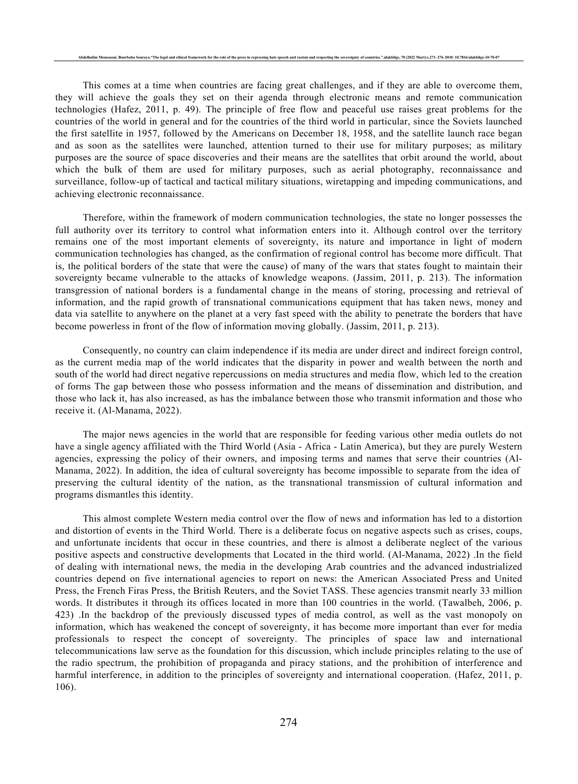This comes at a time when countries are facing great challenges, and if they are able to overcome them, they will achieve the goals they set on their agenda through electronic means and remote communication technologies (Hafez, 2011, p. 49). The principle of free flow and peaceful use raises great problems for the countries of the world in general and for the countries of the third world in particular, since the Soviets launched the first satellite in 1957, followed by the Americans on December 18, 1958, and the satellite launch race began and as soon as the satellites were launched, attention turned to their use for military purposes; as military purposes are the source of space discoveries and their means are the satellites that orbit around the world, about which the bulk of them are used for military purposes, such as aerial photography, reconnaissance and surveillance, follow-up of tactical and tactical military situations, wiretapping and impeding communications, and achieving electronic reconnaissance.

Therefore, within the framework of modern communication technologies, the state no longer possesses the full authority over its territory to control what information enters into it. Although control over the territory remains one of the most important elements of sovereignty, its nature and importance in light of modern communication technologies has changed, as the confirmation of regional control has become more difficult. That is, the political borders of the state that were the cause) of many of the wars that states fought to maintain their sovereignty became vulnerable to the attacks of knowledge weapons. (Jassim, 2011, p. 213). The information transgression of national borders is a fundamental change in the means of storing, processing and retrieval of information, and the rapid growth of transnational communications equipment that has taken news, money and data via satellite to anywhere on the planet at a very fast speed with the ability to penetrate the borders that have become powerless in front of the flow of information moving globally. (Jassim, 2011, p. 213).

Consequently, no country can claim independence if its media are under direct and indirect foreign control, as the current media map of the world indicates that the disparity in power and wealth between the north and south of the world had direct negative repercussions on media structures and media flow, which led to the creation of forms The gap between those who possess information and the means of dissemination and distribution, and those who lack it, has also increased, as has the imbalance between those who transmit information and those who receive it. (Al-Manama, 2022).

The major news agencies in the world that are responsible for feeding various other media outlets do not have a single agency affiliated with the Third World (Asia - Africa - Latin America), but they are purely Western agencies, expressing the policy of their owners, and imposing terms and names that serve their countries (Al-Manama, 2022). In addition, the idea of cultural sovereignty has become impossible to separate from the idea of preserving the cultural identity of the nation, as the transnational transmission of cultural information and programs dismantles this identity.

This almost complete Western media control over the flow of news and information has led to a distortion and distortion of events in the Third World. There is a deliberate focus on negative aspects such as crises, coups, and unfortunate incidents that occur in these countries, and there is almost a deliberate neglect of the various positive aspects and constructive developments that Located in the third world. (Al-Manama, 2022) .In the field of dealing with international news, the media in the developing Arab countries and the advanced industrialized countries depend on five international agencies to report on news: the American Associated Press and United Press, the French Firas Press, the British Reuters, and the Soviet TASS. These agencies transmit nearly 33 million words. It distributes it through its offices located in more than 100 countries in the world. (Tawalbeh, 2006, p. 423) .In the backdrop of the previously discussed types of media control, as well as the vast monopoly on information, which has weakened the concept of sovereignty, it has become more important than ever for media professionals to respect the concept of sovereignty. The principles of space law and international telecommunications law serve as the foundation for this discussion, which include principles relating to the use of the radio spectrum, the prohibition of propaganda and piracy stations, and the prohibition of interference and harmful interference, in addition to the principles of sovereignty and international cooperation. (Hafez, 2011, p. 106).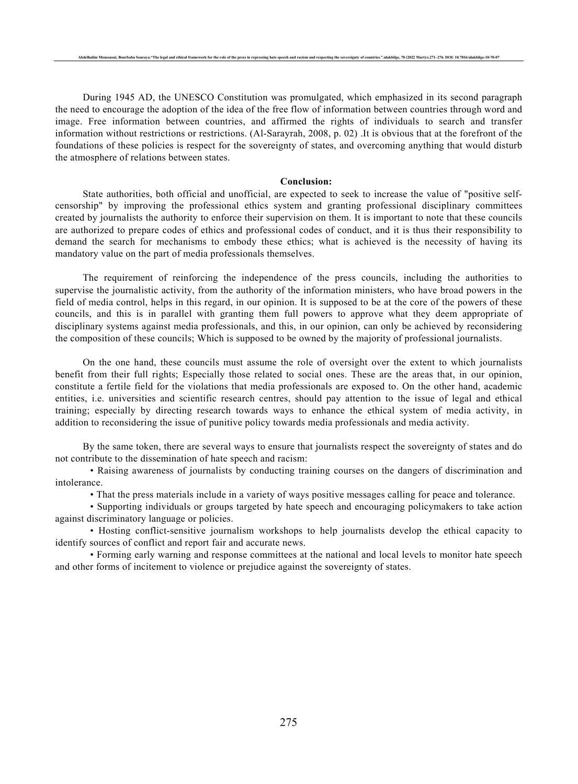During 1945 AD, the UNESCO Constitution was promulgated, which emphasized in its second paragraph the need to encourage the adoption of the idea of the free flow of information between countries through word and image. Free information between countries, and affirmed the rights of individuals to search and transfer information without restrictions or restrictions. (Al-Sarayrah, 2008, p. 02) .It is obvious that at the forefront of the foundations of these policies is respect for the sovereignty of states, and overcoming anything that would disturb the atmosphere of relations between states.

Abdelhalim Moussaoui, Bourbaba Souraya."The legal and ethical framework for the role of the press in repressing hate speech and racism and respecting the sovereignty of countries." ulakbilge, 70 (2022 Mart):s.271–276. DOI:

## **Conclusion:**

State authorities, both official and unofficial, are expected to seek to increase the value of "positive selfcensorship" by improving the professional ethics system and granting professional disciplinary committees created by journalists the authority to enforce their supervision on them. It is important to note that these councils are authorized to prepare codes of ethics and professional codes of conduct, and it is thus their responsibility to demand the search for mechanisms to embody these ethics; what is achieved is the necessity of having its mandatory value on the part of media professionals themselves.

The requirement of reinforcing the independence of the press councils, including the authorities to supervise the journalistic activity, from the authority of the information ministers, who have broad powers in the field of media control, helps in this regard, in our opinion. It is supposed to be at the core of the powers of these councils, and this is in parallel with granting them full powers to approve what they deem appropriate of disciplinary systems against media professionals, and this, in our opinion, can only be achieved by reconsidering the composition of these councils; Which is supposed to be owned by the majority of professional journalists.

On the one hand, these councils must assume the role of oversight over the extent to which journalists benefit from their full rights; Especially those related to social ones. These are the areas that, in our opinion, constitute a fertile field for the violations that media professionals are exposed to. On the other hand, academic entities, i.e. universities and scientific research centres, should pay attention to the issue of legal and ethical training; especially by directing research towards ways to enhance the ethical system of media activity, in addition to reconsidering the issue of punitive policy towards media professionals and media activity.

By the same token, there are several ways to ensure that journalists respect the sovereignty of states and do not contribute to the dissemination of hate speech and racism:

• Raising awareness of journalists by conducting training courses on the dangers of discrimination and intolerance.

• That the press materials include in a variety of ways positive messages calling for peace and tolerance.

• Supporting individuals or groups targeted by hate speech and encouraging policymakers to take action against discriminatory language or policies.

• Hosting conflict-sensitive journalism workshops to help journalists develop the ethical capacity to identify sources of conflict and report fair and accurate news.

• Forming early warning and response committees at the national and local levels to monitor hate speech and other forms of incitement to violence or prejudice against the sovereignty of states.